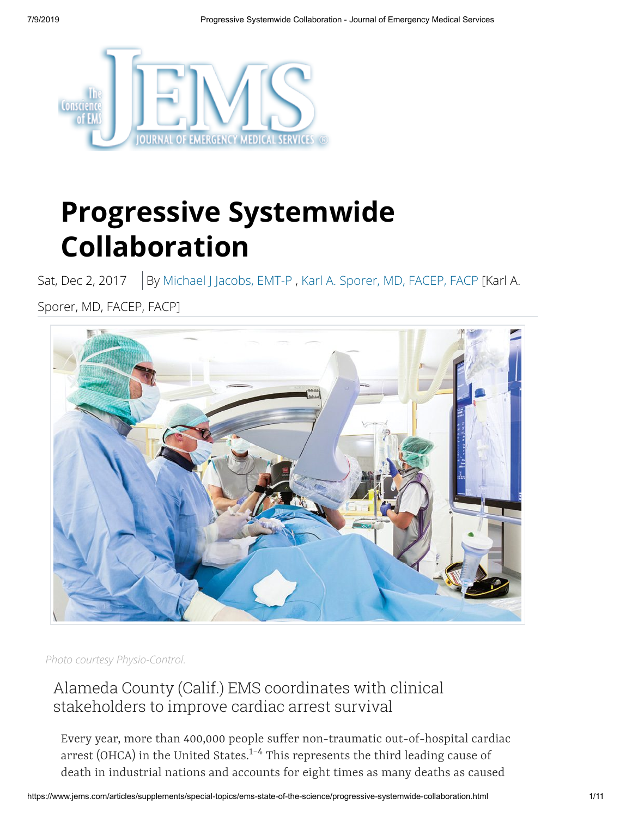

# **Progressive Systemwide Collaboration**

Sat, Dec 2, 2017 | By [Michael J Jacobs, EMT-P](https://www.jems.com/content/jems/en/authors/l-p/michael-j-jacobs-emt-p.html), [Karl A. Sporer, MD, FACEP, FACP](https://www.jems.com/content/jems/en/authors/g-k/karl-sporer-md-facep-facp.html) [Karl A.

Sporer, MD, FACEP, FACP]



*Photo courtesy Physio-Control.*

# Alameda County (Calif.) EMS coordinates with clinical stakeholders to improve cardiac arrest survival

Every year, more than 400,000 people suffer non-traumatic out-of-hospital cardiac arrest (OHCA) in the United States.<sup>1-4</sup> This represents the third leading cause of death in industrial nations and accounts for eight times as many deaths as caused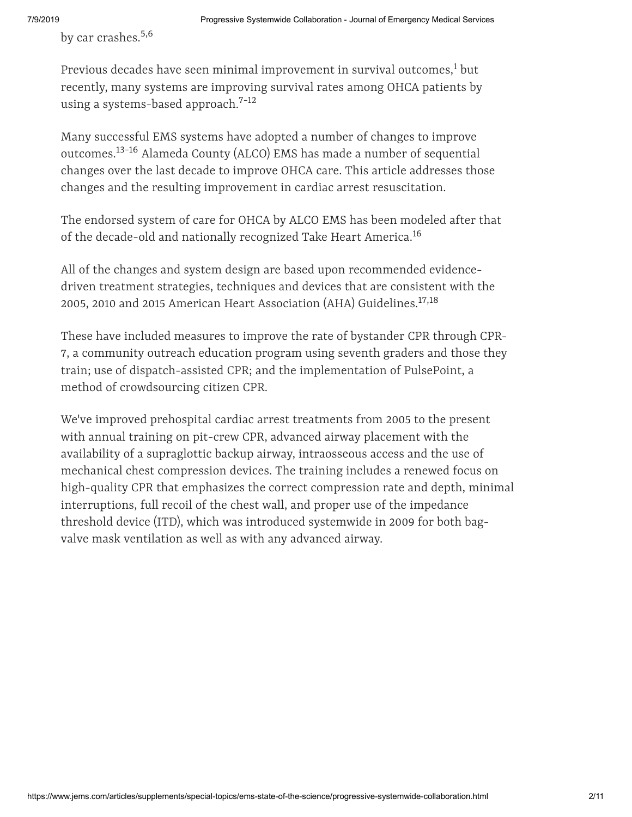by car crashes. 5,6

Previous decades have seen minimal improvement in survival outcomes, $^1$  but recently, many systems are improving survival rates among OHCA patients by using a systems-based approach. 7-12

Many successful EMS systems have adopted a number of changes to improve outcomes.<sup>13-16</sup> Alameda County (ALCO) EMS has made a number of sequential changes over the last decade to improve OHCA care. This article addresses those changes and the resulting improvement in cardiac arrest resuscitation.

The endorsed system of care for OHCA by ALCO EMS has been modeled after that of the decade-old and nationally recognized Take Heart America. 16

All of the changes and system design are based upon recommended evidencedriven treatment strategies, techniques and devices that are consistent with the 2005, 2010 and 2015 American Heart Association (AHA) Guidelines. 17,18

These have included measures to improve the rate of bystander CPR through CPR-7, a community outreach education program using seventh graders and those they train; use of dispatch-assisted CPR; and the implementation of PulsePoint, a method of crowdsourcing citizen CPR.

We've improved prehospital cardiac arrest treatments from 2005 to the present with annual training on pit-crew CPR, advanced airway placement with the availability of a supraglottic backup airway, intraosseous access and the use of mechanical chest compression devices. The training includes a renewed focus on high-quality CPR that emphasizes the correct compression rate and depth, minimal interruptions, full recoil of the chest wall, and proper use of the impedance threshold device (ITD), which was introduced systemwide in 2009 for both bagvalve mask ventilation as well as with any advanced airway.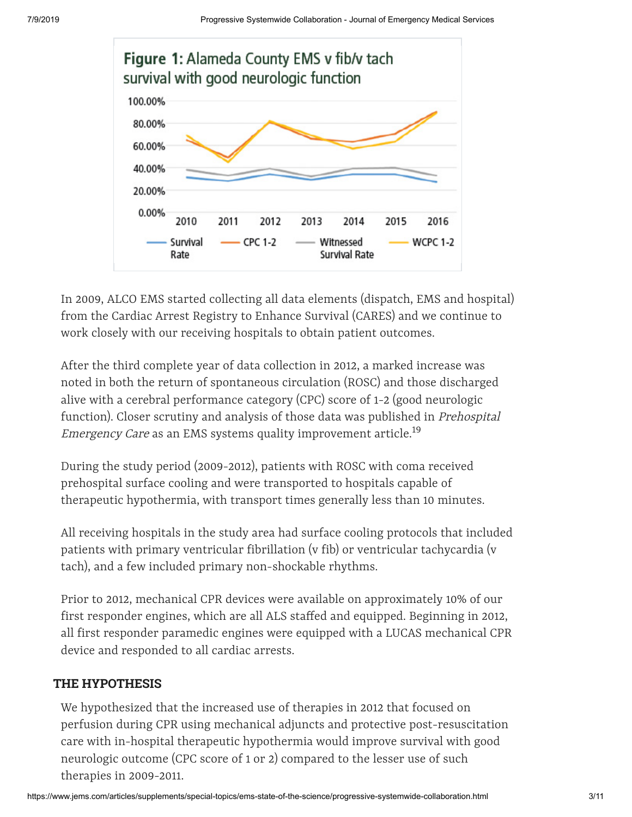

In 2009, ALCO EMS started collecting all data elements (dispatch, EMS and hospital) from the Cardiac Arrest Registry to Enhance Survival (CARES) and we continue to work closely with our receiving hospitals to obtain patient outcomes.

After the third complete year of data collection in 2012, a marked increase was noted in both the return of spontaneous circulation (ROSC) and those discharged alive with a cerebral performance category (CPC) score of 1-2 (good neurologic function). Closer scrutiny and analysis of those data was published in Prehospital E*mergency Care* as an EMS systems quality improvement article.<sup>19</sup>

During the study period (2009-2012), patients with ROSC with coma received prehospital surface cooling and were transported to hospitals capable of therapeutic hypothermia, with transport times generally less than 10 minutes.

All receiving hospitals in the study area had surface cooling protocols that included patients with primary ventricular fibrillation (v fib) or ventricular tachycardia (v tach), and a few included primary non-shockable rhythms.

Prior to 2012, mechanical CPR devices were available on approximately 10% of our first responder engines, which are all ALS staffed and equipped. Beginning in 2012, all first responder paramedic engines were equipped with a LUCAS mechanical CPR device and responded to all cardiac arrests.

# **THE HYPOTHESIS**

We hypothesized that the increased use of therapies in 2012 that focused on perfusion during CPR using mechanical adjuncts and protective post-resuscitation care with in-hospital therapeutic hypothermia would improve survival with good neurologic outcome (CPC score of 1 or 2) compared to the lesser use of such therapies in 2009-2011.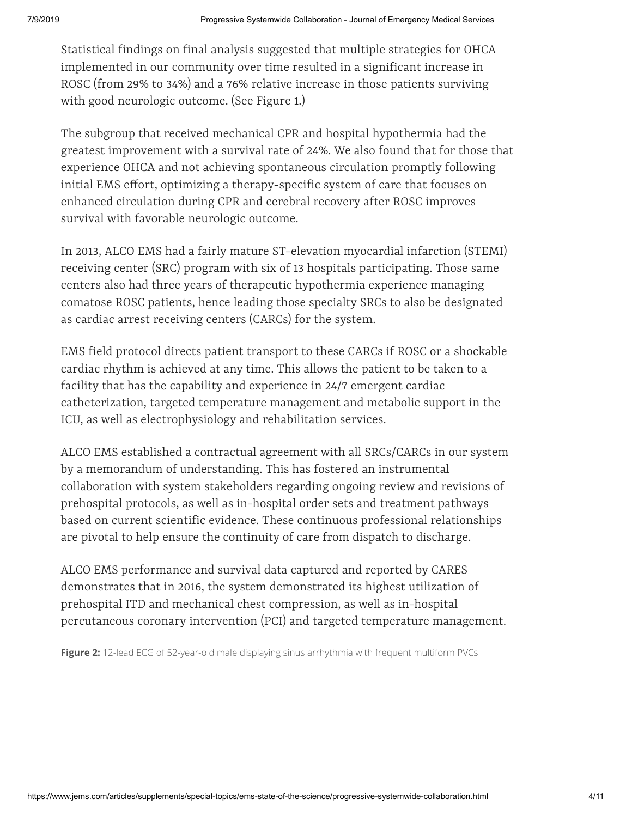Statistical findings on final analysis suggested that multiple strategies for OHCA implemented in our community over time resulted in a significant increase in ROSC (from 29% to 34%) and a 76% relative increase in those patients surviving with good neurologic outcome. (See Figure 1.)

The subgroup that received mechanical CPR and hospital hypothermia had the greatest improvement with a survival rate of 24%. We also found that for those that experience OHCA and not achieving spontaneous circulation promptly following initial EMS effort, optimizing a therapy-specific system of care that focuses on enhanced circulation during CPR and cerebral recovery after ROSC improves survival with favorable neurologic outcome.

In 2013, ALCO EMS had a fairly mature ST-elevation myocardial infarction (STEMI) receiving center (SRC) program with six of 13 hospitals participating. Those same centers also had three years of therapeutic hypothermia experience managing comatose ROSC patients, hence leading those specialty SRCs to also be designated as cardiac arrest receiving centers (CARCs) for the system.

EMS field protocol directs patient transport to these CARCs if ROSC or a shockable cardiac rhythm is achieved at any time. This allows the patient to be taken to a facility that has the capability and experience in 24/7 emergent cardiac catheterization, targeted temperature management and metabolic support in the ICU, as well as electrophysiology and rehabilitation services.

ALCO EMS established a contractual agreement with all SRCs/CARCs in our system by a memorandum of understanding. This has fostered an instrumental collaboration with system stakeholders regarding ongoing review and revisions of prehospital protocols, as well as in-hospital order sets and treatment pathways based on current scientific evidence. These continuous professional relationships are pivotal to help ensure the continuity of care from dispatch to discharge.

ALCO EMS performance and survival data captured and reported by CARES demonstrates that in 2016, the system demonstrated its highest utilization of prehospital ITD and mechanical chest compression, as well as in-hospital percutaneous coronary intervention (PCI) and targeted temperature management.

**Figure 2:** 12-lead ECG of 52-year-old male displaying sinus arrhythmia with frequent multiform PVCs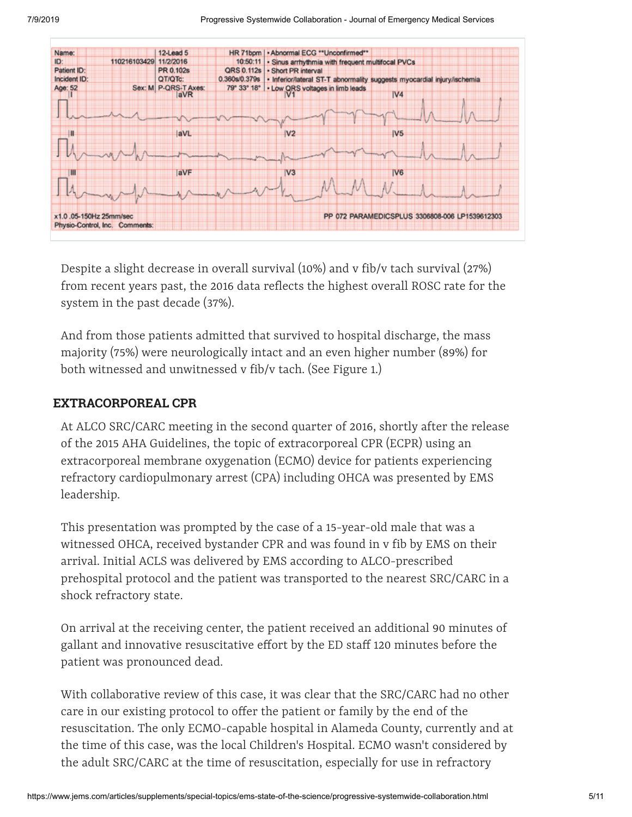

Despite a slight decrease in overall survival (10%) and v fib/v tach survival (27%) from recent years past, the 2016 data reflects the highest overall ROSC rate for the system in the past decade (37%).

And from those patients admitted that survived to hospital discharge, the mass majority (75%) were neurologically intact and an even higher number (89%) for both witnessed and unwitnessed v fib/v tach. (See Figure 1.)

#### **EXTRACORPOREAL CPR**

At ALCO SRC/CARC meeting in the second quarter of 2016, shortly after the release of the 2015 AHA Guidelines, the topic of extracorporeal CPR (ECPR) using an extracorporeal membrane oxygenation (ECMO) device for patients experiencing refractory cardiopulmonary arrest (CPA) including OHCA was presented by EMS leadership.

This presentation was prompted by the case of a 15-year-old male that was a witnessed OHCA, received bystander CPR and was found in v fib by EMS on their arrival. Initial ACLS was delivered by EMS according to ALCO-prescribed prehospital protocol and the patient was transported to the nearest SRC/CARC in a shock refractory state.

On arrival at the receiving center, the patient received an additional 90 minutes of gallant and innovative resuscitative effort by the ED staff 120 minutes before the patient was pronounced dead.

With collaborative review of this case, it was clear that the SRC/CARC had no other care in our existing protocol to offer the patient or family by the end of the resuscitation. The only ECMO-capable hospital in Alameda County, currently and at the time of this case, was the local Children's Hospital. ECMO wasn't considered by the adult SRC/CARC at the time of resuscitation, especially for use in refractory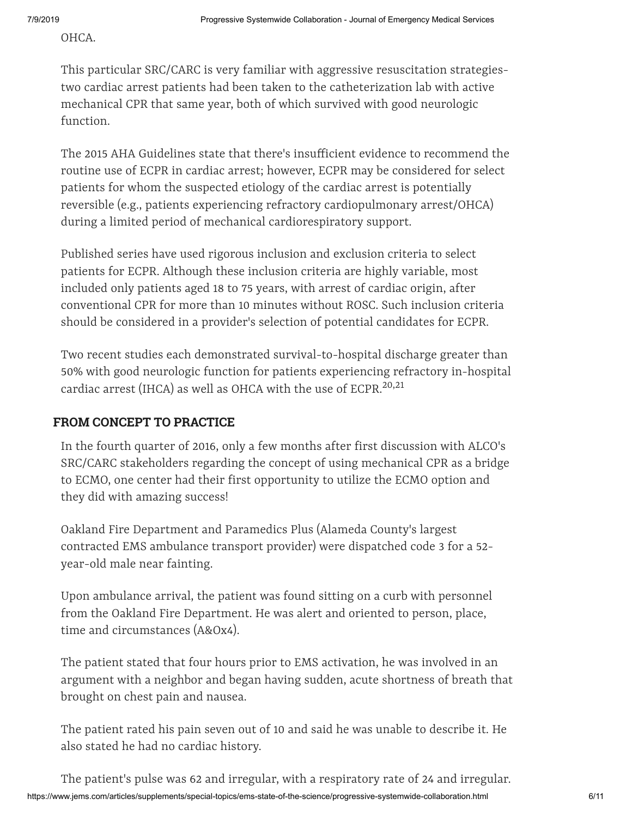OHCA.

This particular SRC/CARC is very familiar with aggressive resuscitation strategiestwo cardiac arrest patients had been taken to the catheterization lab with active mechanical CPR that same year, both of which survived with good neurologic function.

The 2015 AHA Guidelines state that there's insufficient evidence to recommend the routine use of ECPR in cardiac arrest; however, ECPR may be considered for select patients for whom the suspected etiology of the cardiac arrest is potentially reversible (e.g., patients experiencing refractory cardiopulmonary arrest/OHCA) during a limited period of mechanical cardiorespiratory support.

Published series have used rigorous inclusion and exclusion criteria to select patients for ECPR. Although these inclusion criteria are highly variable, most included only patients aged 18 to 75 years, with arrest of cardiac origin, after conventional CPR for more than 10 minutes without ROSC. Such inclusion criteria should be considered in a provider's selection of potential candidates for ECPR.

Two recent studies each demonstrated survival-to-hospital discharge greater than 50% with good neurologic function for patients experiencing refractory in-hospital cardiac arrest (IHCA) as well as OHCA with the use of ECPR.<sup>20,21</sup>

#### **FROM CONCEPT TO PRACTICE**

In the fourth quarter of 2016, only a few months after first discussion with ALCO's SRC/CARC stakeholders regarding the concept of using mechanical CPR as a bridge to ECMO, one center had their first opportunity to utilize the ECMO option and they did with amazing success!

Oakland Fire Department and Paramedics Plus (Alameda County's largest contracted EMS ambulance transport provider) were dispatched code 3 for a 52 year-old male near fainting.

Upon ambulance arrival, the patient was found sitting on a curb with personnel from the Oakland Fire Department. He was alert and oriented to person, place, time and circumstances (A&Ox4).

The patient stated that four hours prior to EMS activation, he was involved in an argument with a neighbor and began having sudden, acute shortness of breath that brought on chest pain and nausea.

The patient rated his pain seven out of 10 and said he was unable to describe it. He also stated he had no cardiac history.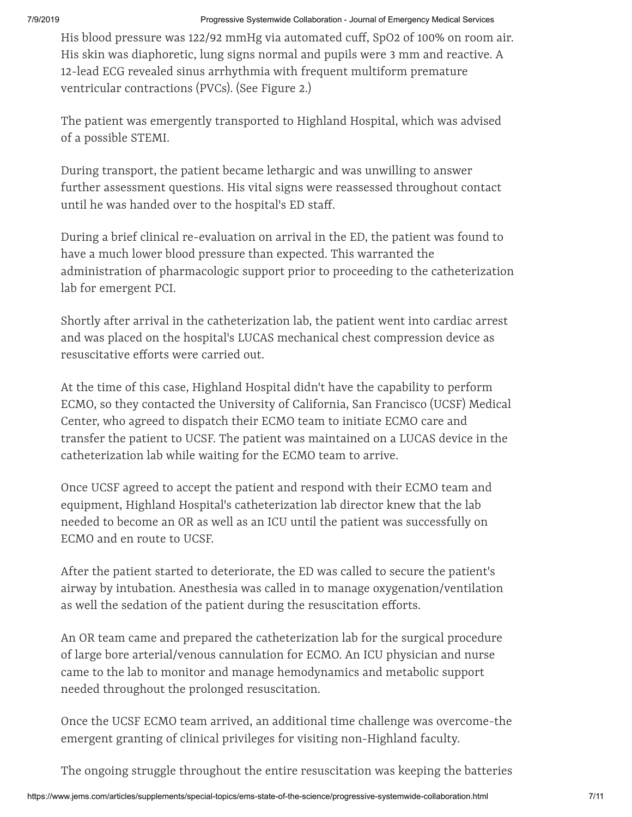His blood pressure was 122/92 mmHg via automated cuff, SpO2 of 100% on room air. His skin was diaphoretic, lung signs normal and pupils were 3 mm and reactive. A 12-lead ECG revealed sinus arrhythmia with frequent multiform premature ventricular contractions (PVCs). (See Figure 2.)

The patient was emergently transported to Highland Hospital, which was advised of a possible STEMI.

During transport, the patient became lethargic and was unwilling to answer further assessment questions. His vital signs were reassessed throughout contact until he was handed over to the hospital's ED staff.

During a brief clinical re-evaluation on arrival in the ED, the patient was found to have a much lower blood pressure than expected. This warranted the administration of pharmacologic support prior to proceeding to the catheterization lab for emergent PCI.

Shortly after arrival in the catheterization lab, the patient went into cardiac arrest and was placed on the hospital's LUCAS mechanical chest compression device as resuscitative efforts were carried out.

At the time of this case, Highland Hospital didn't have the capability to perform ECMO, so they contacted the University of California, San Francisco (UCSF) Medical Center, who agreed to dispatch their ECMO team to initiate ECMO care and transfer the patient to UCSF. The patient was maintained on a LUCAS device in the catheterization lab while waiting for the ECMO team to arrive.

Once UCSF agreed to accept the patient and respond with their ECMO team and equipment, Highland Hospital's catheterization lab director knew that the lab needed to become an OR as well as an ICU until the patient was successfully on ECMO and en route to UCSF.

After the patient started to deteriorate, the ED was called to secure the patient's airway by intubation. Anesthesia was called in to manage oxygenation/ventilation as well the sedation of the patient during the resuscitation efforts.

An OR team came and prepared the catheterization lab for the surgical procedure of large bore arterial/venous cannulation for ECMO. An ICU physician and nurse came to the lab to monitor and manage hemodynamics and metabolic support needed throughout the prolonged resuscitation.

Once the UCSF ECMO team arrived, an additional time challenge was overcome-the emergent granting of clinical privileges for visiting non-Highland faculty.

The ongoing struggle throughout the entire resuscitation was keeping the batteries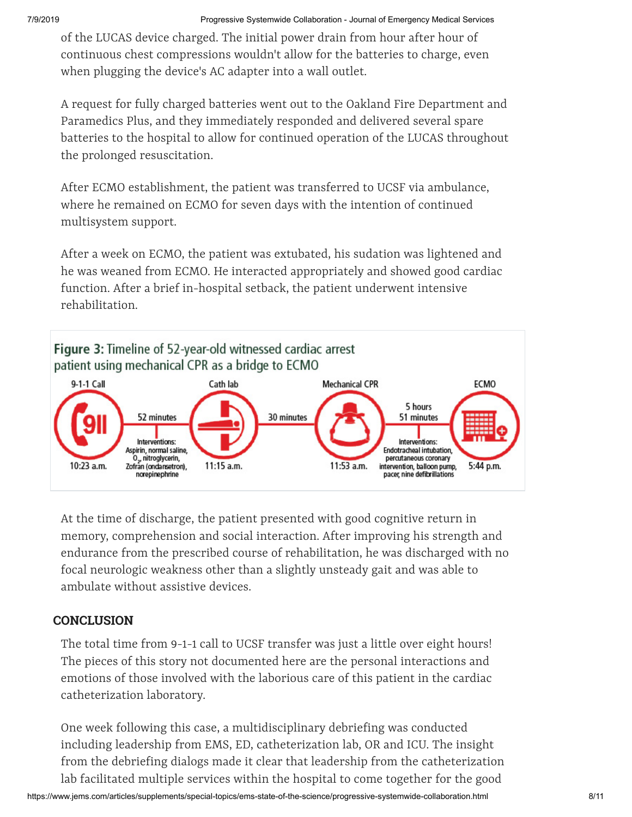of the LUCAS device charged. The initial power drain from hour after hour of continuous chest compressions wouldn't allow for the batteries to charge, even when plugging the device's AC adapter into a wall outlet.

A request for fully charged batteries went out to the Oakland Fire Department and Paramedics Plus, and they immediately responded and delivered several spare batteries to the hospital to allow for continued operation of the LUCAS throughout the prolonged resuscitation.

After ECMO establishment, the patient was transferred to UCSF via ambulance, where he remained on ECMO for seven days with the intention of continued multisystem support.

After a week on ECMO, the patient was extubated, his sudation was lightened and he was weaned from ECMO. He interacted appropriately and showed good cardiac function. After a brief in-hospital setback, the patient underwent intensive rehabilitation.



At the time of discharge, the patient presented with good cognitive return in memory, comprehension and social interaction. After improving his strength and endurance from the prescribed course of rehabilitation, he was discharged with no focal neurologic weakness other than a slightly unsteady gait and was able to ambulate without assistive devices.

# **CONCLUSION**

The total time from 9-1-1 call to UCSF transfer was just a little over eight hours! The pieces of this story not documented here are the personal interactions and emotions of those involved with the laborious care of this patient in the cardiac catheterization laboratory.

One week following this case, a multidisciplinary debriefing was conducted including leadership from EMS, ED, catheterization lab, OR and ICU. The insight from the debriefing dialogs made it clear that leadership from the catheterization lab facilitated multiple services within the hospital to come together for the good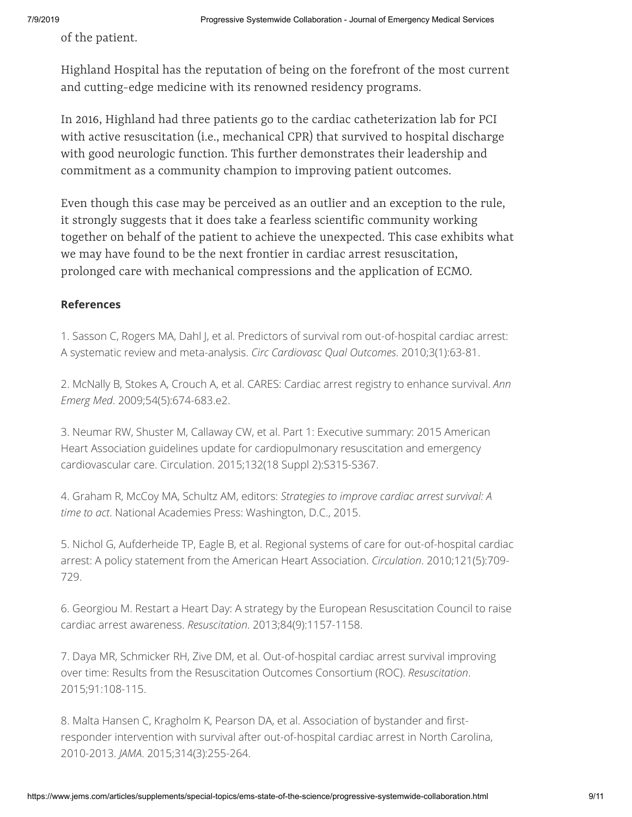of the patient.

Highland Hospital has the reputation of being on the forefront of the most current and cutting-edge medicine with its renowned residency programs.

In 2016, Highland had three patients go to the cardiac catheterization lab for PCI with active resuscitation (i.e., mechanical CPR) that survived to hospital discharge with good neurologic function. This further demonstrates their leadership and commitment as a community champion to improving patient outcomes.

Even though this case may be perceived as an outlier and an exception to the rule, it strongly suggests that it does take a fearless scientific community working together on behalf of the patient to achieve the unexpected. This case exhibits what we may have found to be the next frontier in cardiac arrest resuscitation, prolonged care with mechanical compressions and the application of ECMO.

#### **References**

1. Sasson C, Rogers MA, Dahl J, et al. Predictors of survival rom out-of-hospital cardiac arrest: A systematic review and meta-analysis. *Circ Cardiovasc Qual Outcomes*. 2010;3(1):63-81.

2. McNally B, Stokes A, Crouch A, et al. CARES: Cardiac arrest registry to enhance survival. *Ann Emerg Med*. 2009;54(5):674-683.e2.

3. Neumar RW, Shuster M, Callaway CW, et al. Part 1: Executive summary: 2015 American Heart Association guidelines update for cardiopulmonary resuscitation and emergency cardiovascular care. Circulation. 2015;132(18 Suppl 2):S315-S367.

4. Graham R, McCoy MA, Schultz AM, editors: *Strategies to improve cardiac arrest survival: A time to act*. National Academies Press: Washington, D.C., 2015.

5. Nichol G, Aufderheide TP, Eagle B, et al. Regional systems of care for out-of-hospital cardiac arrest: A policy statement from the American Heart Association. *Circulation*. 2010;121(5):709- 729.

6. Georgiou M. Restart a Heart Day: A strategy by the European Resuscitation Council to raise cardiac arrest awareness. *Resuscitation*. 2013;84(9):1157-1158.

7. Daya MR, Schmicker RH, Zive DM, et al. Out-of-hospital cardiac arrest survival improving over time: Results from the Resuscitation Outcomes Consortium (ROC). *Resuscitation*. 2015;91:108-115.

8. Malta Hansen C, Kragholm K, Pearson DA, et al. Association of bystander and firstresponder intervention with survival after out-of-hospital cardiac arrest in North Carolina, 2010-2013. *JAMA*. 2015;314(3):255-264.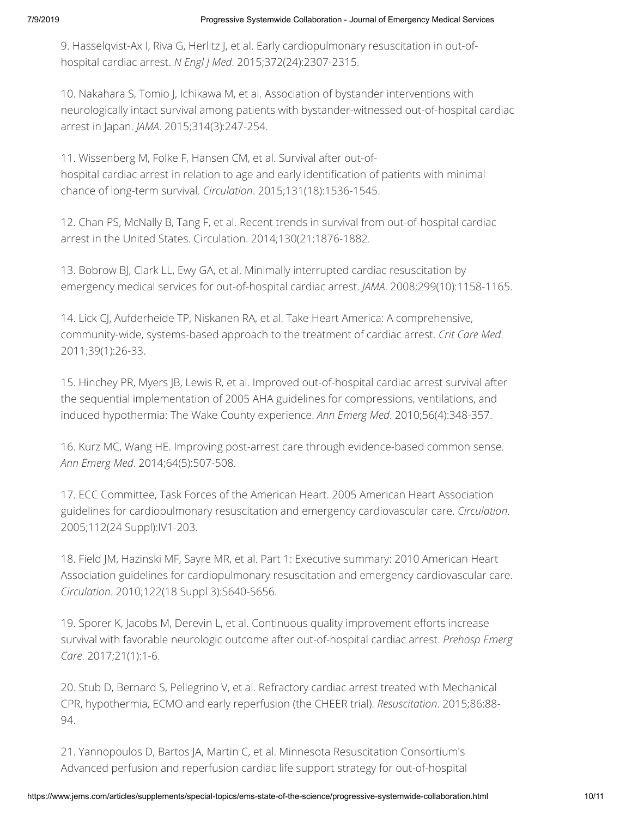9. Hasselqvist-Ax I, Riva G, Herlitz J, et al. Early cardiopulmonary resuscitation in out-ofhospital cardiac arrest. *N Engl J Med*. 2015;372(24):2307-2315.

10. Nakahara S, Tomio J, Ichikawa M, et al. Association of bystander interventions with neurologically intact survival among patients with bystander-witnessed out-of-hospital cardiac arrest in Japan. *JAMA*. 2015;314(3):247-254.

11. Wissenberg M, Folke F, Hansen CM, et al. Survival after out-ofhospital cardiac arrest in relation to age and early identification of patients with minimal chance of long-term survival. *Circulation*. 2015;131(18):1536-1545.

12. Chan PS, McNally B, Tang F, et al. Recent trends in survival from out-of-hospital cardiac arrest in the United States. Circulation. 2014;130(21:1876-1882.

13. Bobrow BJ, Clark LL, Ewy GA, et al. Minimally interrupted cardiac resuscitation by emergency medical services for out-of-hospital cardiac arrest. *JAMA*. 2008;299(10):1158-1165.

14. Lick CJ, Aufderheide TP, Niskanen RA, et al. Take Heart America: A comprehensive, community-wide, systems-based approach to the treatment of cardiac arrest. *Crit Care Med*. 2011;39(1):26-33.

15. Hinchey PR, Myers JB, Lewis R, et al. Improved out-of-hospital cardiac arrest survival after the sequential implementation of 2005 AHA guidelines for compressions, ventilations, and induced hypothermia: The Wake County experience. *Ann Emerg Med*. 2010;56(4):348-357.

16. Kurz MC, Wang HE. Improving post-arrest care through evidence-based common sense. *Ann Emerg Med*. 2014;64(5):507-508.

17. ECC Committee, Task Forces of the American Heart. 2005 American Heart Association guidelines for cardiopulmonary resuscitation and emergency cardiovascular care. *Circulation*. 2005;112(24 Suppl):IV1-203.

18. Field JM, Hazinski MF, Sayre MR, et al. Part 1: Executive summary: 2010 American Heart Association guidelines for cardiopulmonary resuscitation and emergency cardiovascular care. *Circulation*. 2010;122(18 Suppl 3):S640-S656.

19. Sporer K, Jacobs M, Derevin L, et al. Continuous quality improvement efforts increase survival with favorable neurologic outcome after out-of-hospital cardiac arrest. *Prehosp Emerg Care*. 2017;21(1):1-6.

20. Stub D, Bernard S, Pellegrino V, et al. Refractory cardiac arrest treated with Mechanical CPR, hypothermia, ECMO and early reperfusion (the CHEER trial). *Resuscitation*. 2015;86:88- 94.

21. Yannopoulos D, Bartos JA, Martin C, et al. Minnesota Resuscitation Consortium's Advanced perfusion and reperfusion cardiac life support strategy for out-of-hospital